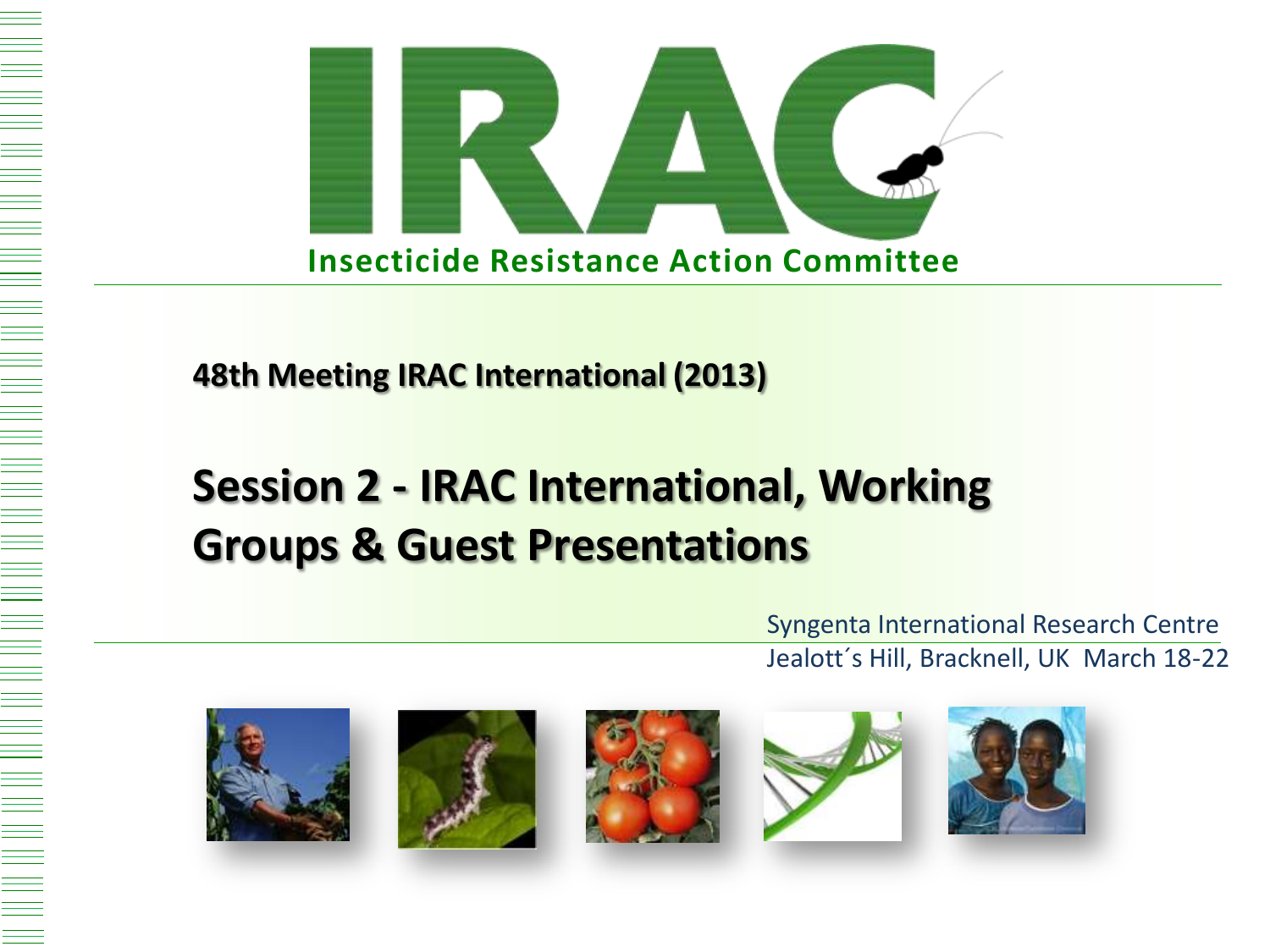



**48th Meeting IRAC International (2013)**

# **Session 2 - IRAC International, Working Groups & Guest Presentations**

 Syngenta International Research Centre Jealott´s Hill, Bracknell, UK March 18-22









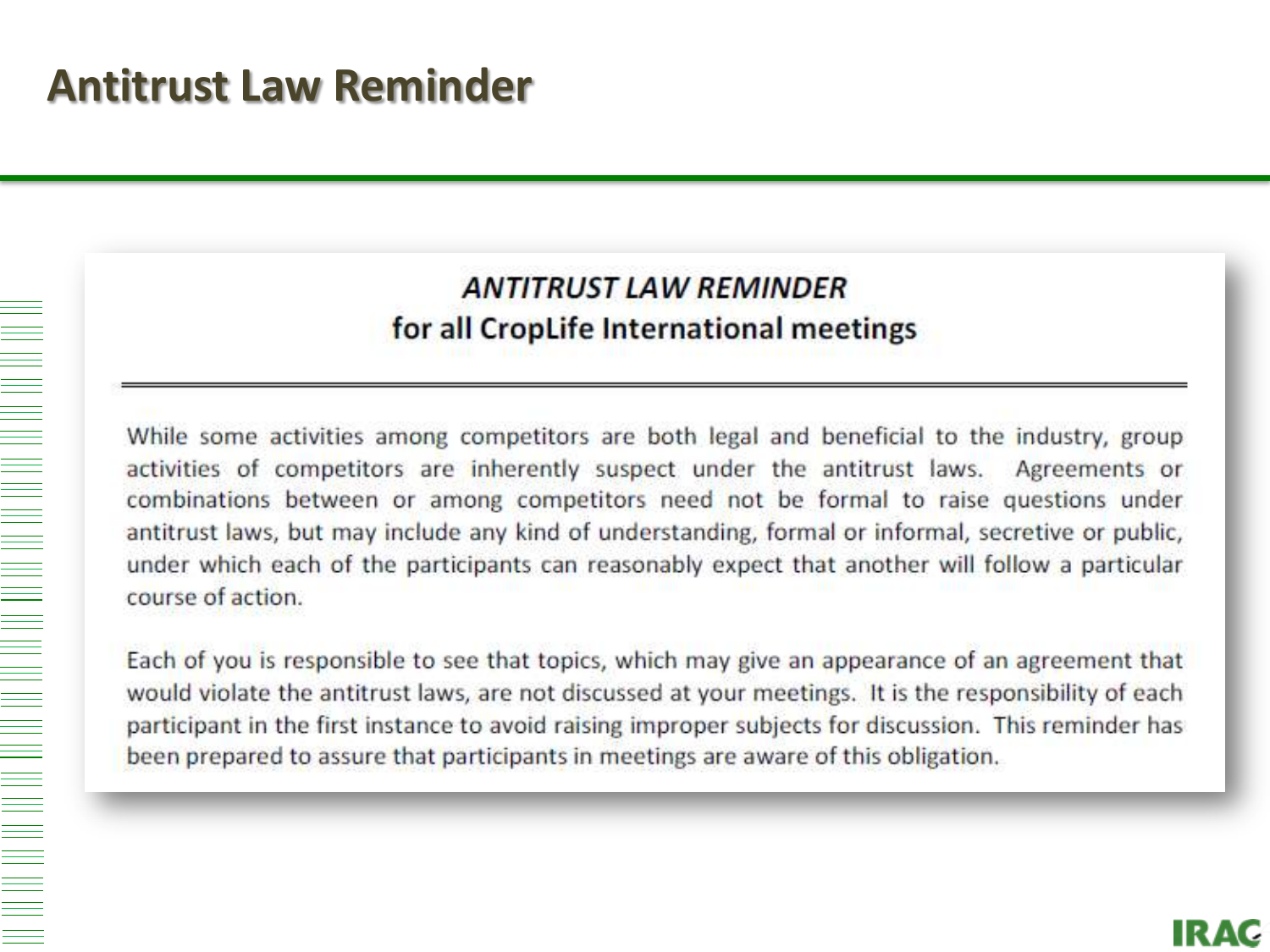#### **ANTITRUST LAW REMINDER** for all CropLife International meetings

While some activities among competitors are both legal and beneficial to the industry, group activities of competitors are inherently suspect under the antitrust laws. Agreements or combinations between or among competitors need not be formal to raise questions under antitrust laws, but may include any kind of understanding, formal or informal, secretive or public, under which each of the participants can reasonably expect that another will follow a particular course of action.

Each of you is responsible to see that topics, which may give an appearance of an agreement that would violate the antitrust laws, are not discussed at your meetings. It is the responsibility of each participant in the first instance to avoid raising improper subjects for discussion. This reminder has been prepared to assure that participants in meetings are aware of this obligation.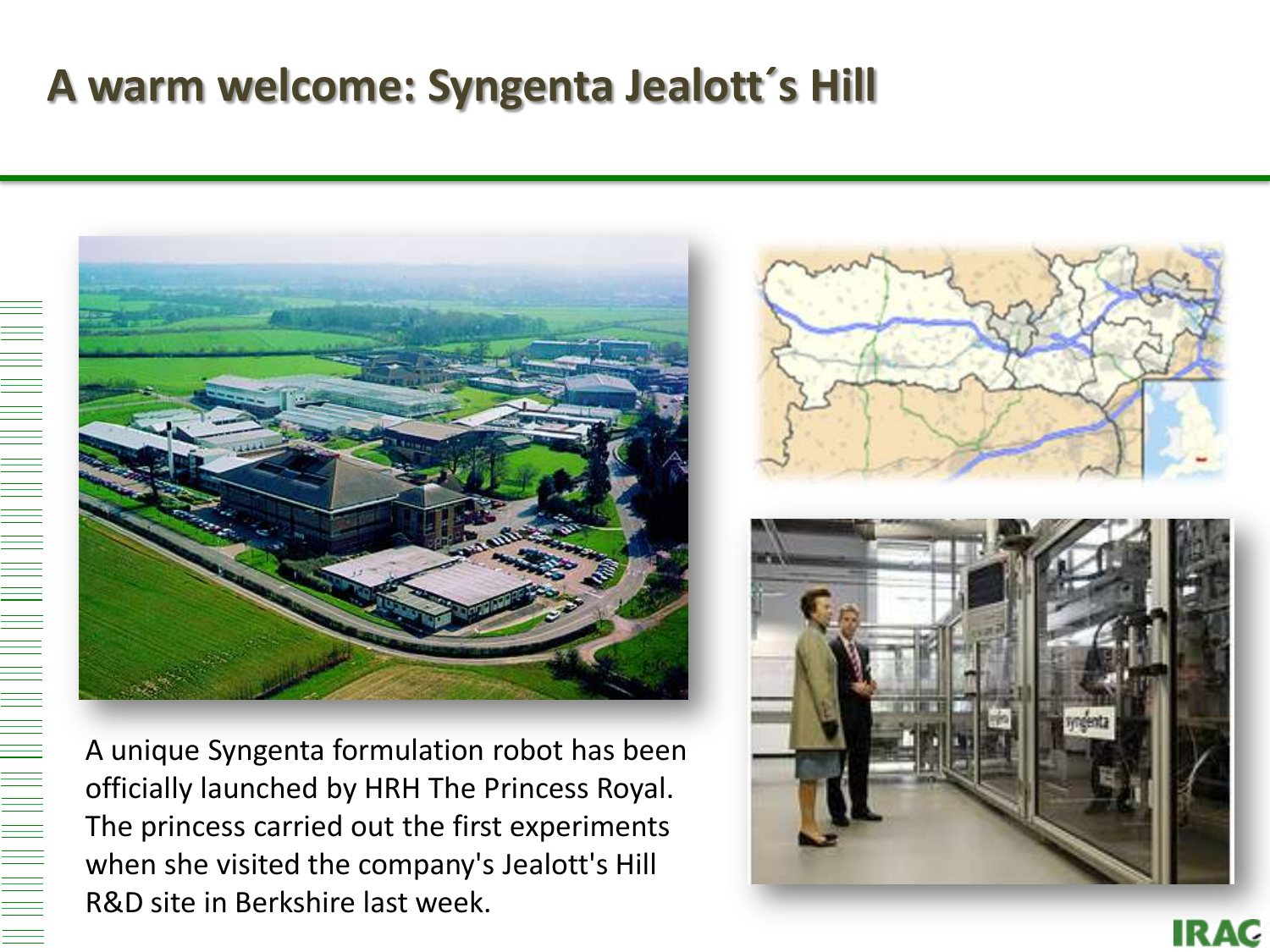## **A warm welcome: Syngenta Jealott´s Hill**



A unique Syngenta formulation robot has been officially launched by HRH The Princess Royal. The princess carried out the first experiments when she visited the company's Jealott's Hill R&D site in Berkshire last week.





**IRAC**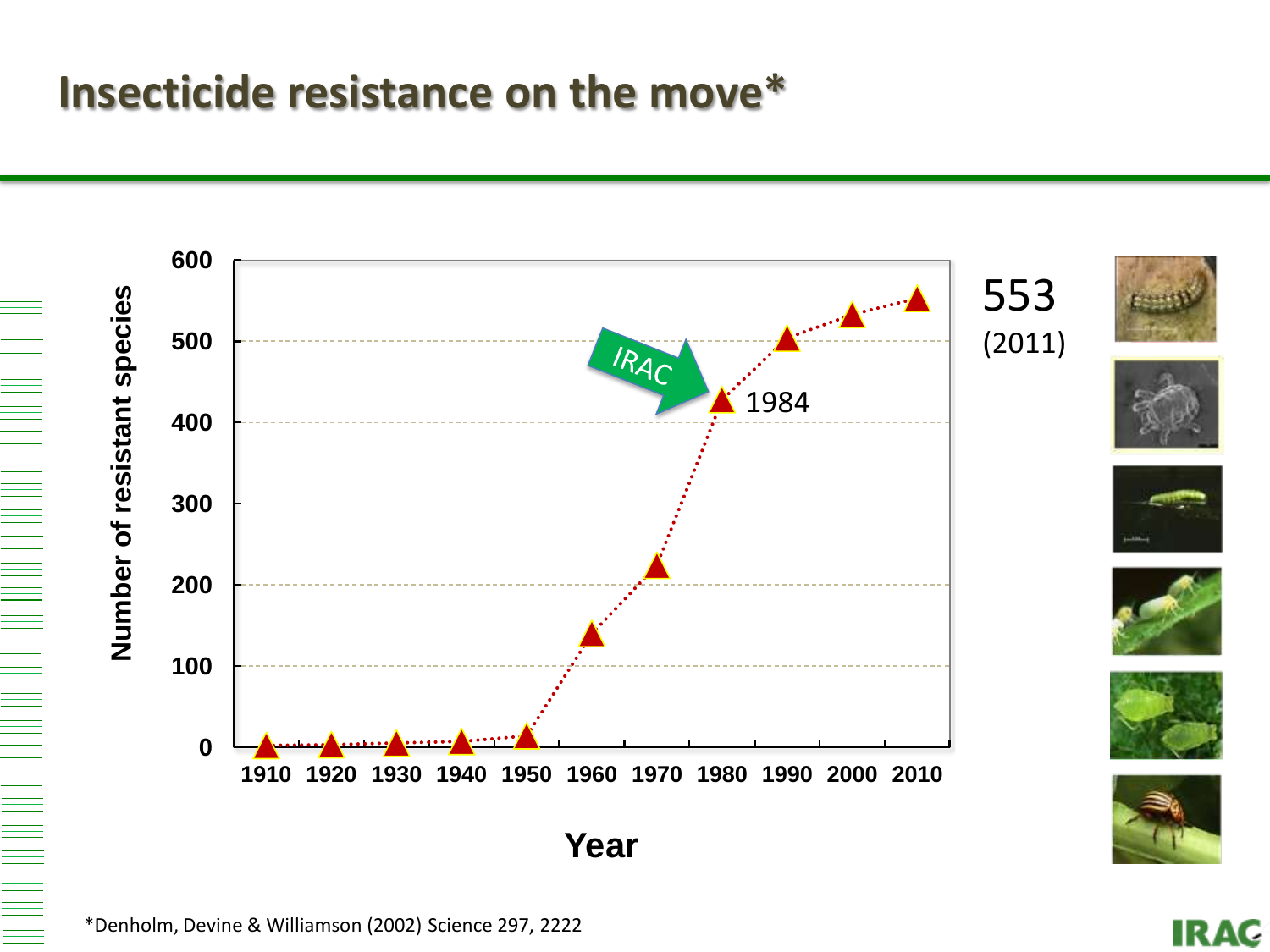### **Insecticide resistance on the move\***



**IRAC**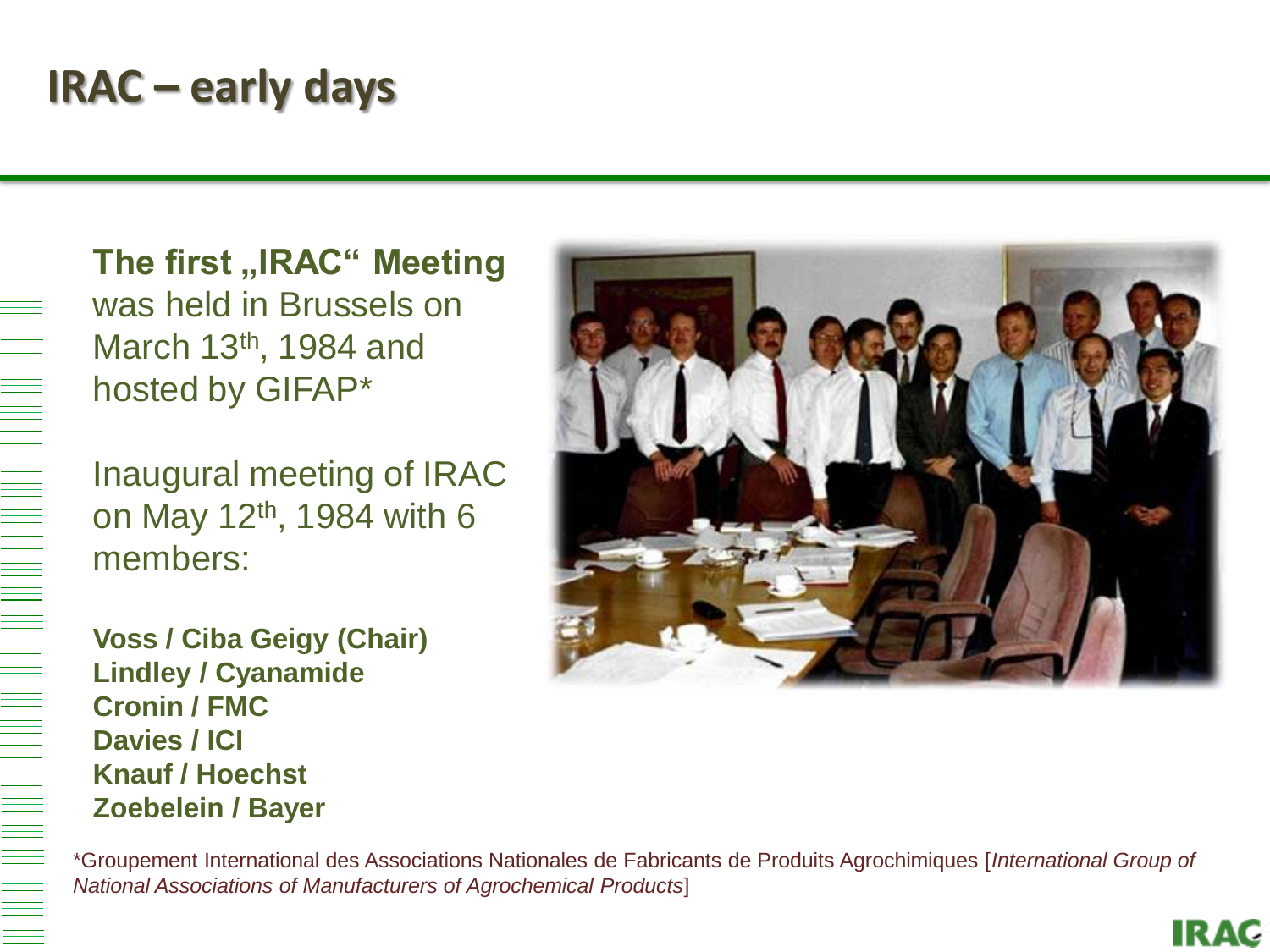## **IRAC – early days**

**The first "IRAC" Meeting** was held in Brussels on March 13<sup>th</sup>, 1984 and hosted by GIFAP\*

Inaugural meeting of IRAC on May 12th, 1984 with 6 members:

**Voss / Ciba Geigy (Chair) Lindley / Cyanamide Cronin / FMC Davies / ICI Knauf / Hoechst Zoebelein / Bayer**



**IRAC** 

\*Groupement International des Associations Nationales de Fabricants de Produits Agrochimiques [*International Group of National Associations of Manufacturers of Agrochemical Products*]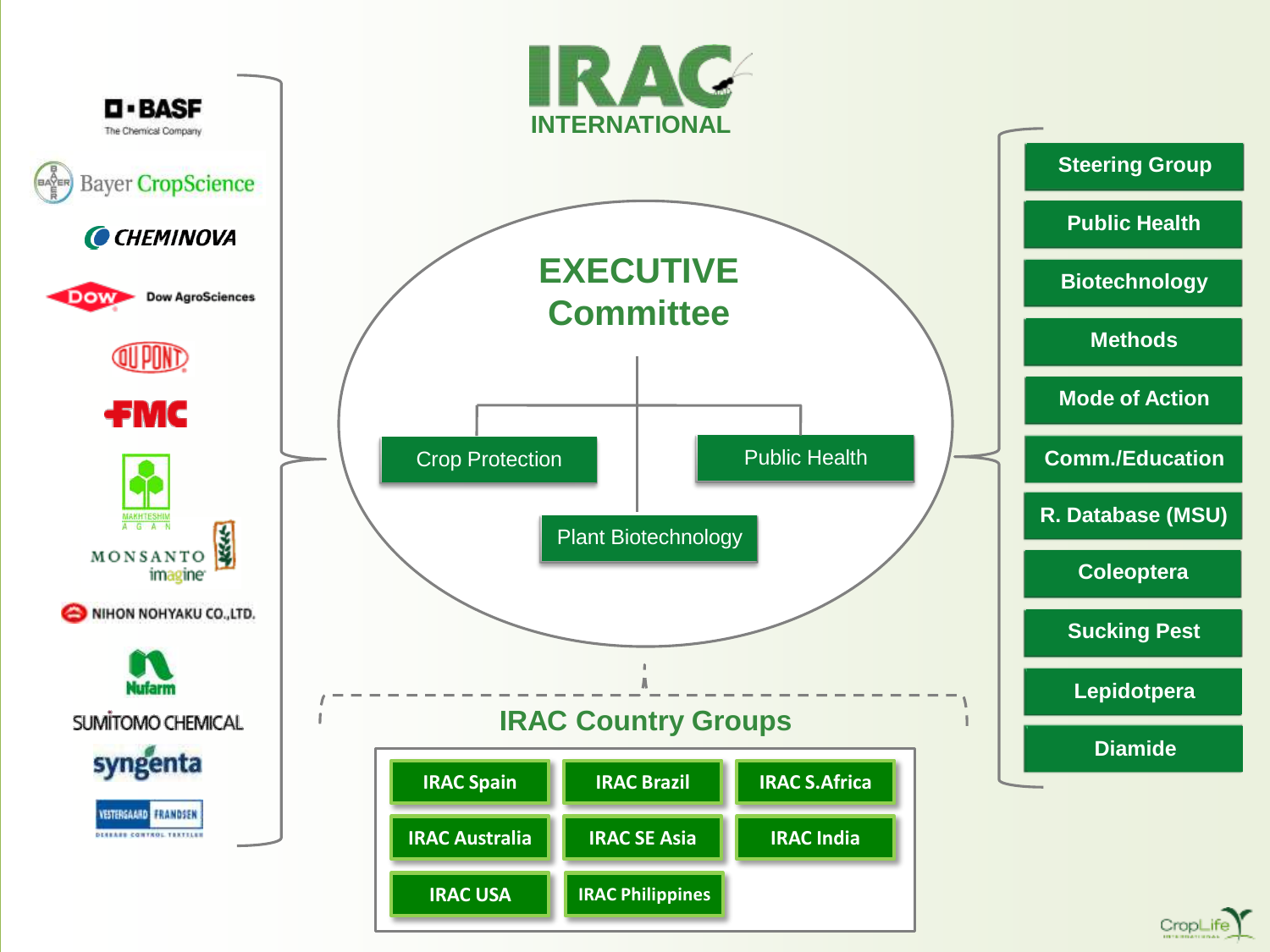

CropLife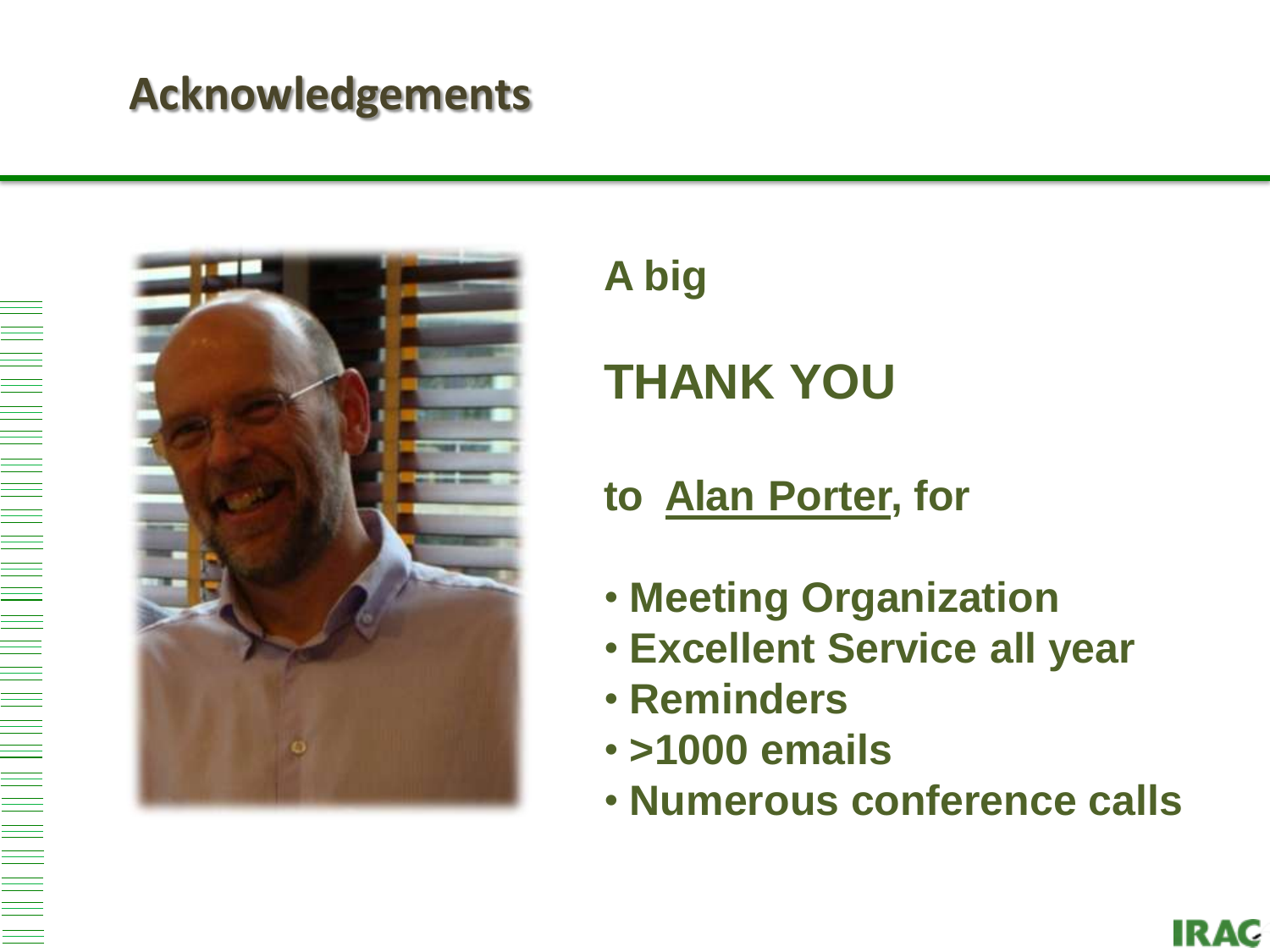### **Acknowledgements**



**A big**

# **THANK YOU**

#### **to Alan Porter, for**

- **Meeting Organization**
- **Excellent Service all year**
- **Reminders**
- **>1000 emails**
- **Numerous conference calls**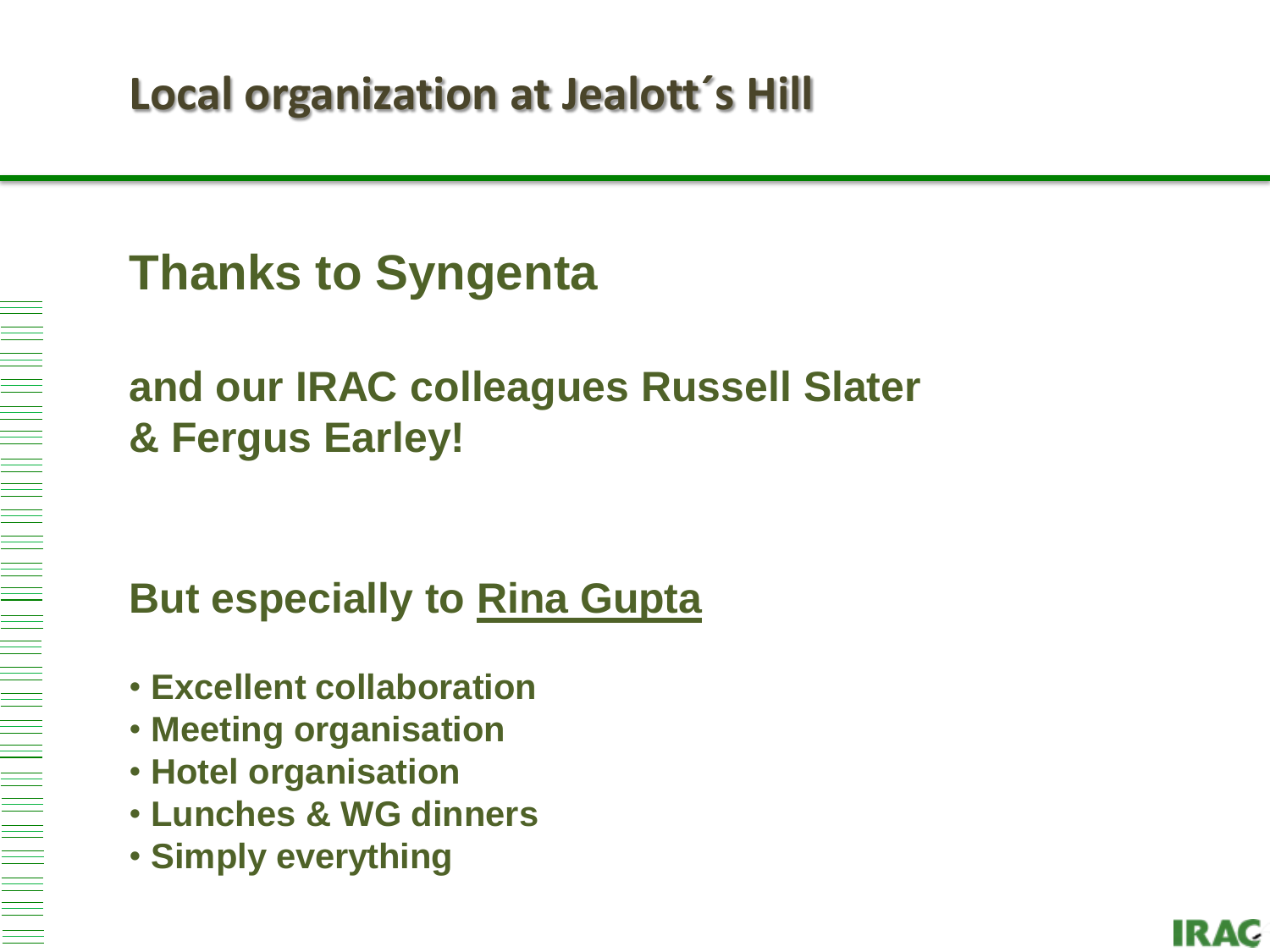# **Thanks to Syngenta**

### **and our IRAC colleagues Russell Slater & Fergus Earley!**

### **But especially to Rina Gupta**

- **Excellent collaboration**
- **Meeting organisation**
- **Hotel organisation**

- **Lunches & WG dinners**
- **Simply everything**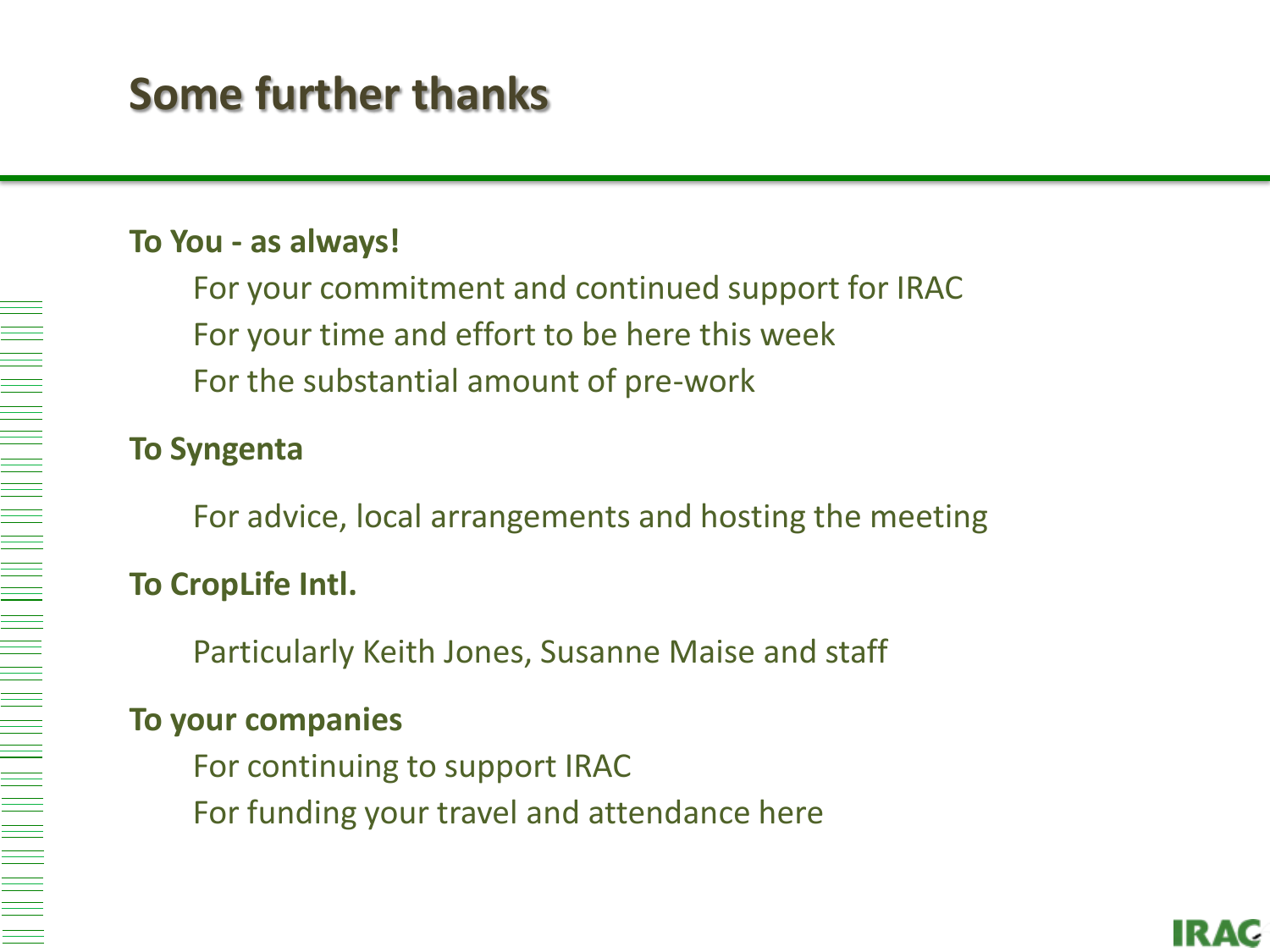# **Some further thanks**

#### **To You - as always!**

For your commitment and continued support for IRAC For your time and effort to be here this week For the substantial amount of pre-work

#### **To Syngenta**

For advice, local arrangements and hosting the meeting

#### **To CropLife Intl.**

Particularly Keith Jones, Susanne Maise and staff

#### **To your companies**

For continuing to support IRAC For funding your travel and attendance here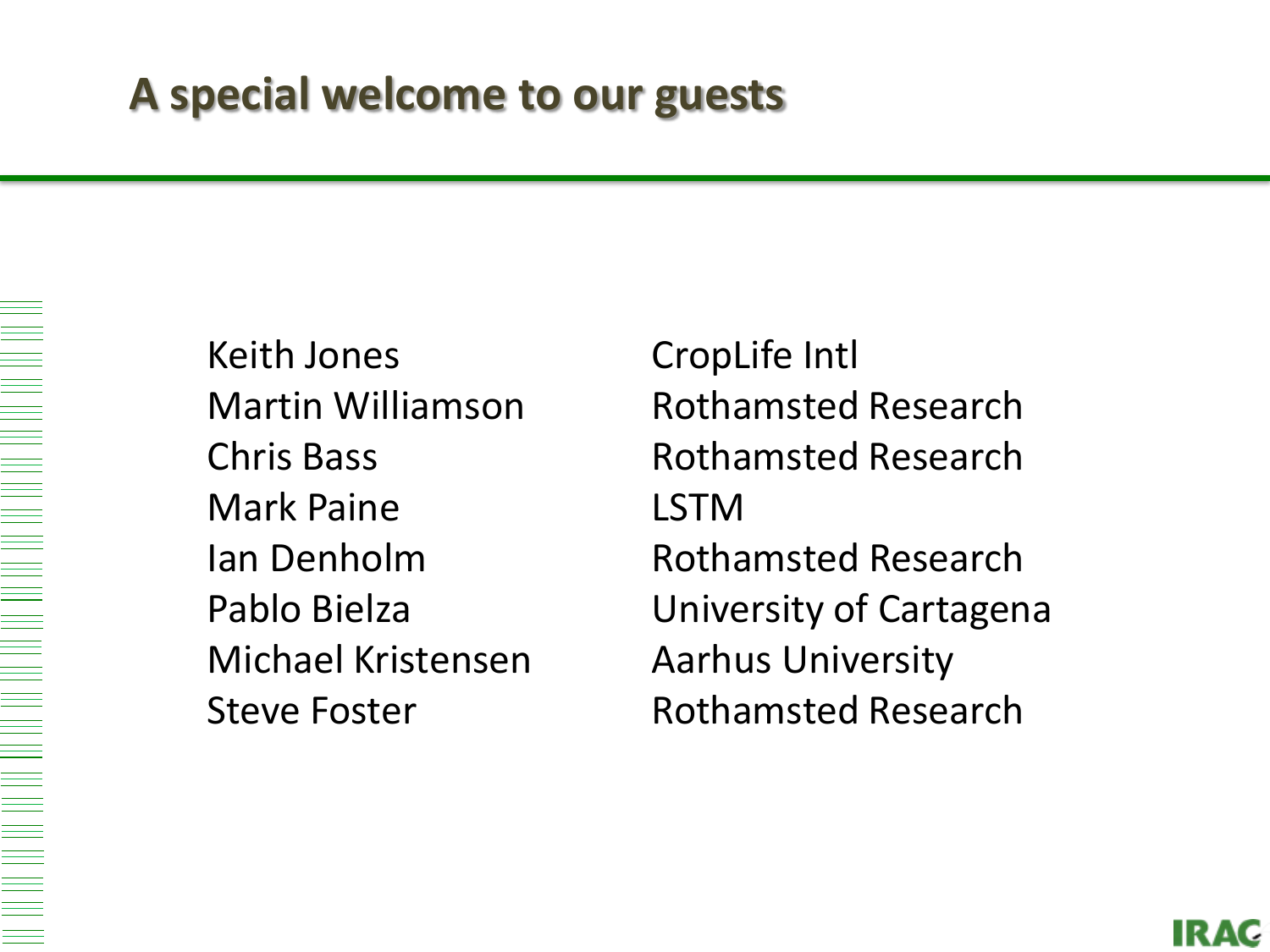Keith Jones CropLife Intl Mark Paine LSTM Michael Kristensen Aarhus University

Martin Williamson Rothamsted Research Chris Bass **Rothamsted Research** Ian Denholm Rothamsted Research Pablo Bielza **University of Cartagena** Steve Foster **Rothamsted Research**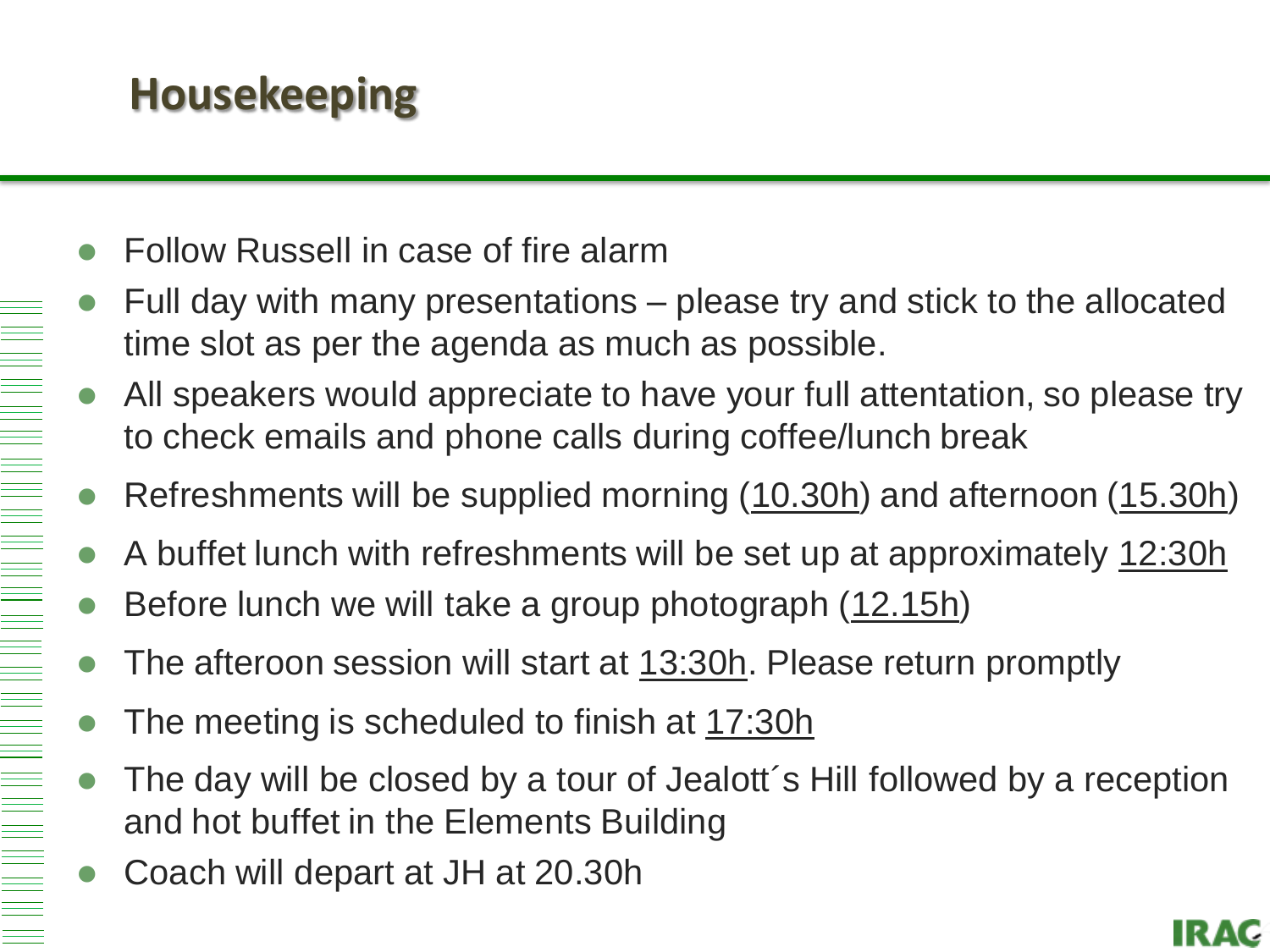# **Housekeeping**

- Follow Russell in case of fire alarm
- Full day with many presentations please try and stick to the allocated time slot as per the agenda as much as possible.
- All speake[rs would appreciate to have your full attentat](http://view.stern.de/de/picture/Pebea-ist-entschlossen-Grau-Digiart-1761692.html?)ion, so please try to check emails and phone calls during coffee/lunch break
- Refreshments will be supplied morning (10.30h) and afternoon (15.30h)
- A buffet lunch with refreshments will be set up at approximately 12:30h
- Before lunch we will take a group photograph (12.15h)
- The afteroon session will start at 13:30h. Please return promptly
- The meeting is scheduled to finish at 17:30h
- The day will be closed by a tour of Jealott´s Hill followed by a reception and hot buffet in the Elements Building
- Coach will depart at JH at 20.30h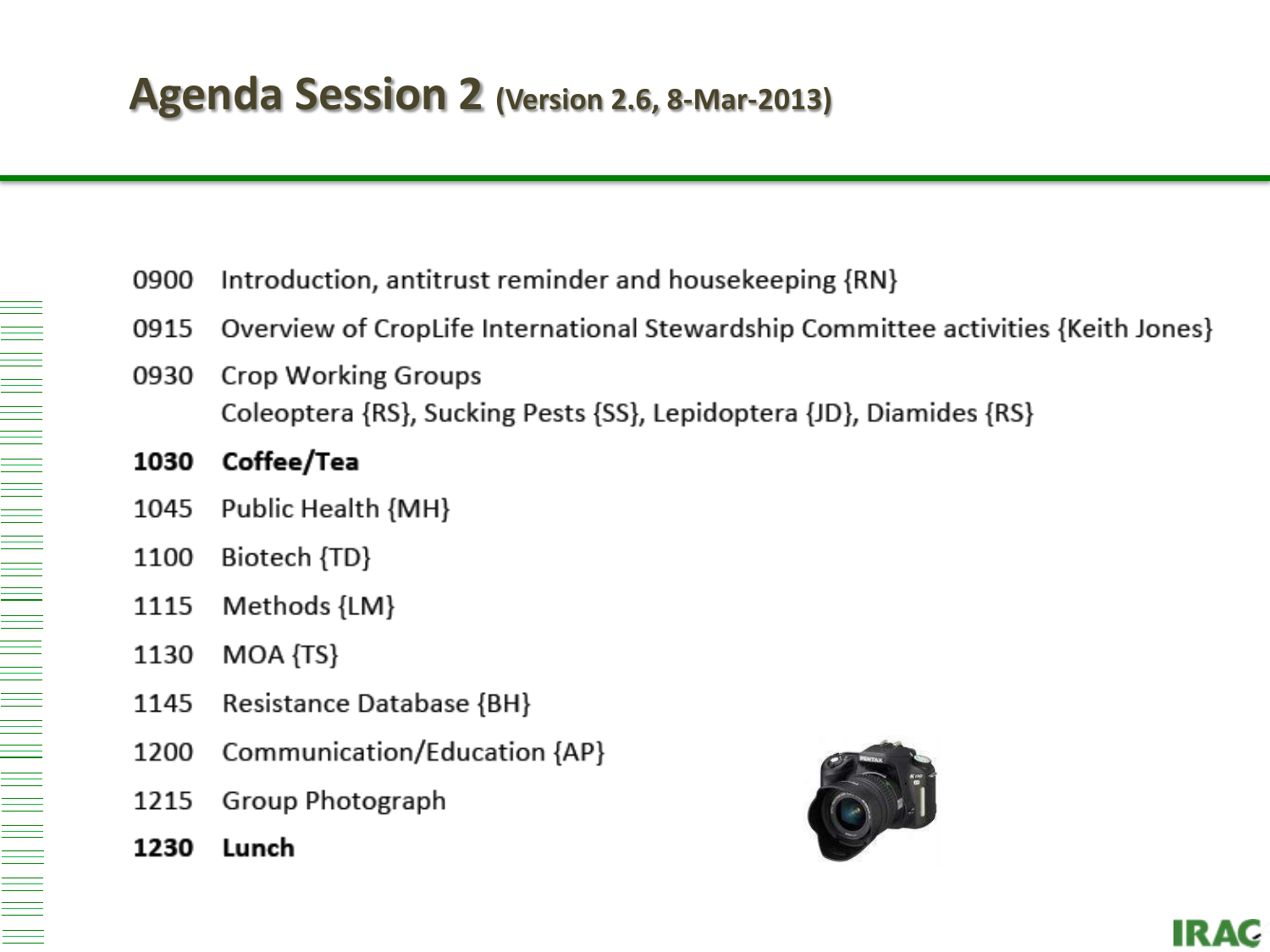| 0900 | Introduction, antitrust reminder and house keeping $\{RN\}$                                        |
|------|----------------------------------------------------------------------------------------------------|
|      | 0915 Overview of CropLife International Stewardship Committee activities {Keith Jones}             |
| 0930 | <b>Crop Working Groups</b><br>Coleoptera {RS}, Sucking Pests {SS}, Lepidoptera {JD}, Diamides {RS} |
| 1030 | Coffee/Tea                                                                                         |
| 1045 | Public Health {MH}                                                                                 |
| 1100 | Biotech {TD}                                                                                       |
| 1115 | Methods {LM}                                                                                       |
| 1130 | MOA {TS}                                                                                           |
| 1145 | <b>Resistance Database {BH}</b>                                                                    |
| 1200 | Communication/Education {AP}                                                                       |
|      |                                                                                                    |

- Group Photograph 1215
- 1230 Lunch



**IRAC**